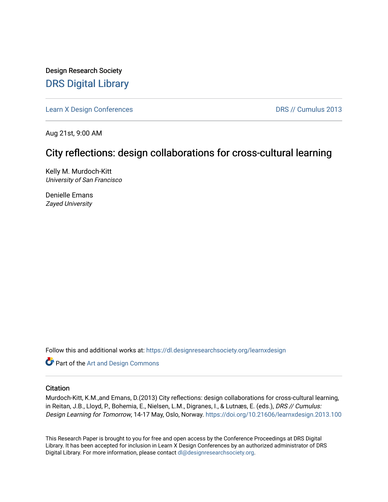Design Research Society [DRS Digital Library](https://dl.designresearchsociety.org/)

[Learn X Design Conferences](https://dl.designresearchsociety.org/learnxdesign) **DRS // Cumulus 2013** 

Aug 21st, 9:00 AM

# City reflections: design collaborations for cross-cultural learning

Kelly M. Murdoch-Kitt University of San Francisco

Denielle Emans Zayed University

Follow this and additional works at: [https://dl.designresearchsociety.org/learnxdesign](https://dl.designresearchsociety.org/learnxdesign?utm_source=dl.designresearchsociety.org%2Flearnxdesign%2Flearnxdesign2013%2Fresearchpapers%2F99&utm_medium=PDF&utm_campaign=PDFCoverPages)

**Part of the [Art and Design Commons](http://network.bepress.com/hgg/discipline/1049?utm_source=dl.designresearchsociety.org%2Flearnxdesign%2Flearnxdesign2013%2Fresearchpapers%2F99&utm_medium=PDF&utm_campaign=PDFCoverPages)** 

### **Citation**

Murdoch-Kitt, K.M.,and Emans, D.(2013) City reflections: design collaborations for cross-cultural learning, in Reitan, J.B., Lloyd, P., Bohemia, E., Nielsen, L.M., Digranes, I., & Lutnæs, E. (eds.), DRS // Cumulus: Design Learning for Tomorrow, 14-17 May, Oslo, Norway. <https://doi.org/10.21606/learnxdesign.2013.100>

This Research Paper is brought to you for free and open access by the Conference Proceedings at DRS Digital Library. It has been accepted for inclusion in Learn X Design Conferences by an authorized administrator of DRS Digital Library. For more information, please contact [dl@designresearchsociety.org](mailto:dl@designresearchsociety.org).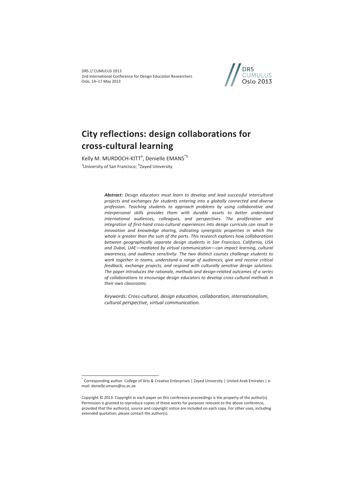DRS // CUMULUS 2013 2nd International Conference for Design Education Researchers Oslo, 14–17 May 2013



# **City reflections: design collaborations for cross-cultural learning**

Kelly M. MURDOCH-KITT<sup>a</sup>, Denielle EMANS<sup>\*b</sup> <sup>a</sup>University of San Francisco; <sup>b</sup>Zayed University

 $\overline{a}$ 

*Abstract: Design educators must learn to develop and lead successful intercultural projects and exchanges for students entering into a globally connected and diverse profession. Teaching students to approach problems by using collaborative and interpersonal skills provides them with durable assets to better understand international audiences, colleagues, and perspectives. The proliferation and integration of first-hand cross-cultural experiences into design curricula can result in innovation and knowledge sharing, indicating synergistic properties in which the whole is greater than the sum of the parts. This research explores how collaborations between geographically separate design students in San Francisco, California, USA and Dubai, UAE—mediated by virtual communication—can impact learning, cultural awareness, and audience sensitivity. The two distinct courses challenge students to work together in teams, understand a range of audiences, give and receive critical feedback, exchange projects, and respond with culturally sensitive design solutions. The paper introduces the rationale, methods and design-related outcomes of a series of collaborations to encourage design educators to develop cross-cultural methods in their own classrooms.* 

*Keywords: Cross-cultural, design education, collaboration, internationalism, cultural perspective, virtual communication.* 

<sup>\*</sup> Corresponding author: College of Arts & Creative Enterprises | Zayed University | United Arab Emirates | email: denielle.emans@zu.ac.ae

Copyright © 2013. Copyright in each paper on this conference proceedings is the property of the author(s). Permission is granted to reproduce copies of these works for purposes relevant to the above conference, provided that the author(s), source and copyright notice are included on each copy. For other uses, including extended quotation, please contact the author(s).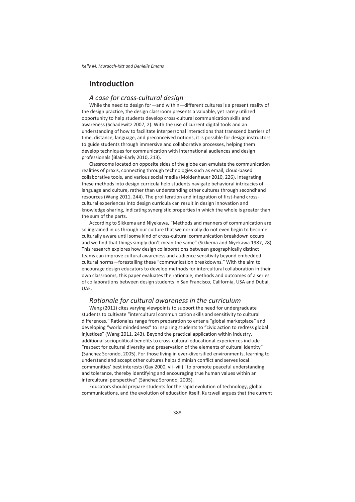## **Introduction**

#### *A case for cross-cultural design*

While the need to design for—and within—different cultures is a present reality of the design practice, the design classroom presents a valuable, yet rarely utilized opportunity to help students develop cross-cultural communication skills and awareness (Schadewitz 2007, 2). With the use of current digital tools and an understanding of how to facilitate interpersonal interactions that transcend barriers of time, distance, language, and preconceived notions, it is possible for design instructors to guide students through immersive and collaborative processes, helping them develop techniques for communication with international audiences and design professionals (Blair-Early 2010, 213).

Classrooms located on opposite sides of the globe can emulate the communication realities of praxis, connecting through technologies such as email, cloud-based collaborative tools, and various social media (Moldenhauer 2010, 226). Integrating these methods into design curricula help students navigate behavioral intricacies of language and culture, rather than understanding other cultures through secondhand resources (Wang 2011, 244). The proliferation and integration of first-hand crosscultural experiences into design curricula can result in design innovation and knowledge-sharing, indicating synergistic properties in which the whole is greater than the sum of the parts.

According to Sikkema and Niyekawa, "Methods and manners of communication are so ingrained in us through our culture that we normally do not even begin to become culturally aware until some kind of cross-cultural communication breakdown occurs and we find that things simply don't mean the same" (Sikkema and Niyekawa 1987, 28). This research explores how design collaborations between geographically distinct teams can improve cultural awareness and audience sensitivity beyond embedded cultural norms—forestalling these "communication breakdowns." With the aim to encourage design educators to develop methods for intercultural collaboration in their own classrooms, this paper evaluates the rationale, methods and outcomes of a series of collaborations between design students in San Francisco, California, USA and Dubai, UAE.

#### *Rationale for cultural awareness in the curriculum*

Wang (2011) cites varying viewpoints to support the need for undergraduate students to cultivate "intercultural communication skills and sensitivity to cultural differences." Rationales range from preparation to enter a "global marketplace" and developing "world mindedness" to inspiring students to "civic action to redress global injustices" (Wang 2011, 243). Beyond the practical application within industry, additional sociopolitical benefits to cross-cultural educational experiences include "respect for cultural diversity and preservation of the elements of cultural identity" (Sánchez Sorondo, 2005). For those living in ever-diversified environments, learning to understand and accept other cultures helps diminish conflict and serves local communities' best interests (Gay 2000, vii–viii) "to promote peaceful understanding and tolerance, thereby identifying and encouraging true human values within an intercultural perspective" (Sánchez Sorondo, 2005).

Educators should prepare students for the rapid evolution of technology, global communications, and the evolution of education itself. Kurzweil argues that the current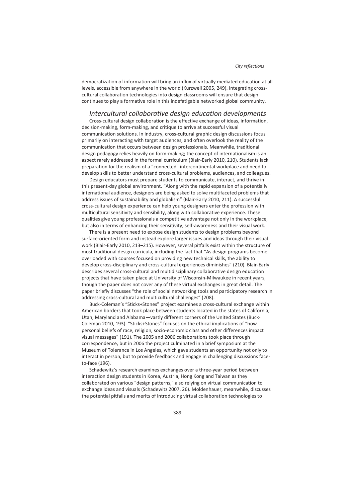democratization of information will bring an influx of virtually mediated education at all levels, accessible from anywhere in the world (Kurzweil 2005, 249). Integrating crosscultural collaboration technologies into design classrooms will ensure that design continues to play a formative role in this indefatigable networked global community.

#### *Intercultural collaborative design education developments*

Cross-cultural design collaboration is the effective exchange of ideas, information, decision-making, form-making, and critique to arrive at successful visual communication solutions. In industry, cross-cultural graphic design discussions focus primarily on interacting with target audiences, and often overlook the reality of the communication that occurs between design professionals. Meanwhile, traditional design pedagogy relies heavily on form-making; the concept of internationalism is an aspect rarely addressed in the formal curriculum (Blair-Early 2010, 210). Students lack preparation for the realism of a "connected" intercontinental workplace and need to develop skills to better understand cross-cultural problems, audiences, and colleagues.

Design educators must prepare students to communicate, interact, and thrive in this present-day global environment. "Along with the rapid expansion of a potentially international audience, designers are being asked to solve multifaceted problems that address issues of sustainability and globalism" (Blair-Early 2010, 211). A successful cross-cultural design experience can help young designers enter the profession with multicultural sensitivity and sensibility, along with collaborative experience. These qualities give young professionals a competitive advantage not only in the workplace, but also in terms of enhancing their sensitivity, self-awareness and their visual work.

There is a present need to expose design students to design problems beyond surface-oriented form and instead explore larger issues and ideas through their visual work (Blair-Early 2010, 213–215). However, several pitfalls exist within the structure of most traditional design curricula, including the fact that "As design programs become overloaded with courses focused on providing new technical skills, the ability to develop cross-disciplinary and cross-cultural experiences diminishes" (210). Blair-Early describes several cross-cultural and multidisciplinary collaborative design education projects that have taken place at University of Wisconsin-Milwaukee in recent years, though the paper does not cover any of these virtual exchanges in great detail. The paper briefly discusses "the role of social networking tools and participatory research in addressing cross-cultural and multicultural challenges" (208).

Buck-Coleman's "Sticks+Stones" project examines a cross-cultural exchange within American borders that took place between students located in the states of California, Utah, Maryland and Alabama—vastly different corners of the United States (Buck-Coleman 2010, 193). "Sticks+Stones" focuses on the ethical implications of "how personal beliefs of race, religion, socio-economic class and other differences impact visual messages" (191). The 2005 and 2006 collaborations took place through correspondence, but in 2006 the project culminated in a brief symposium at the Museum of Tolerance in Los Angeles, which gave students an opportunity not only to interact in person, but to provide feedback and engage in challenging discussions faceto-face (196).

Schadewitz's research examines exchanges over a three-year period between interaction design students in Korea, Austria, Hong Kong and Taiwan as they collaborated on various "design patterns," also relying on virtual communication to exchange ideas and visuals (Schadewitz 2007, 26). Moldenhauer, meanwhile, discusses the potential pitfalls and merits of introducing virtual collaboration technologies to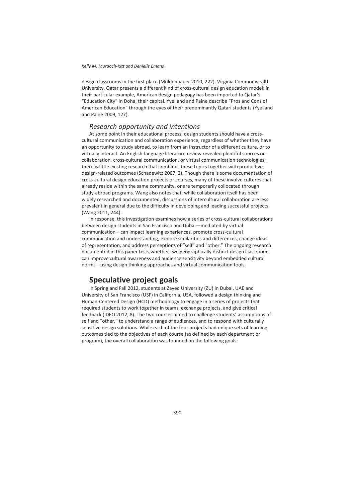design classrooms in the first place (Moldenhauer 2010, 222). Virginia Commonwealth University, Qatar presents a different kind of cross-cultural design education model: in their particular example, American design pedagogy has been imported to Qatar's "Education City" in Doha, their capital. Yyelland and Paine describe "Pros and Cons of American Education" through the eyes of their predominantly Qatari students (Yyelland and Paine 2009, 127).

### *Research opportunity and intentions*

At some point in their educational process, design students should have a crosscultural communication and collaboration experience, regardless of whether they have an opportunity to study abroad, to learn from an instructor of a different culture, or to virtually interact. An English-language literature review revealed plentiful sources on collaboration, cross-cultural communication, or virtual communication technologies; there is little existing research that combines these topics together with productive, design-related outcomes (Schadewitz 2007, 2). Though there is some documentation of cross-cultural design education projects or courses, many of these involve cultures that already reside within the same community, or are temporarily collocated through study-abroad programs. Wang also notes that, while collaboration itself has been widely researched and documented, discussions of intercultural collaboration are less prevalent in general due to the difficulty in developing and leading successful projects (Wang 2011, 244).

In response, this investigation examines how a series of cross-cultural collaborations between design students in San Francisco and Dubai—mediated by virtual communication—can impact learning experiences, promote cross-cultural communication and understanding, explore similarities and differences, change ideas of representation, and address perceptions of "self" and "other." The ongoing research documented in this paper tests whether two geographically distinct design classrooms can improve cultural awareness and audience sensitivity beyond embedded cultural norms—using design thinking approaches and virtual communication tools.

### **Speculative project goals**

In Spring and Fall 2012, students at Zayed University (ZU) in Dubai, UAE and University of San Francisco (USF) in California, USA, followed a design thinking and Human-Centered Design (HCD) methodology to engage in a series of projects that required students to work together in teams, exchange projects, and give critical feedback (IDEO 2012, 8). The two courses aimed to challenge students' assumptions of self and "other," to understand a range of audiences, and to respond with culturally sensitive design solutions. While each of the four projects had unique sets of learning outcomes tied to the objectives of each course (as defined by each department or program), the overall collaboration was founded on the following goals: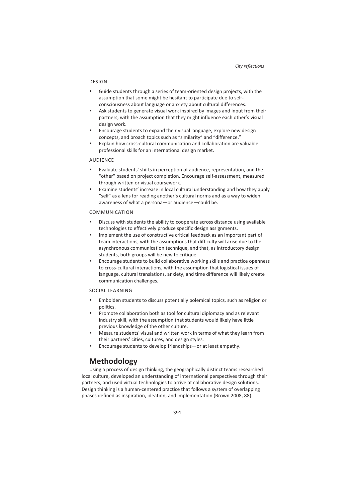#### DESIGN

- Guide students through a series of team-oriented design projects, with the assumption that some might be hesitant to participate due to selfconsciousness about language or anxiety about cultural differences.
- Ask students to generate visual work inspired by images and input from their partners, with the assumption that they might influence each other's visual design work.
- Encourage students to expand their visual language, explore new design concepts, and broach topics such as "similarity" and "difference."
- Explain how cross-cultural communication and collaboration are valuable professional skills for an international design market.

#### AUDIENCE

- Evaluate students' shifts in perception of audience, representation, and the "other" based on project completion. Encourage self-assessment, measured through written or visual coursework.
- Examine students' increase in local cultural understanding and how they apply "self" as a lens for reading another's cultural norms and as a way to widen awareness of what a persona—or audience—could be.

#### COMMUNICATION

- Discuss with students the ability to cooperate across distance using available technologies to effectively produce specific design assignments.
- Implement the use of constructive critical feedback as an important part of team interactions, with the assumptions that difficulty will arise due to the asynchronous communication technique, and that, as introductory design students, both groups will be new to critique.
- Encourage students to build collaborative working skills and practice openness to cross-cultural interactions, with the assumption that logistical issues of language, cultural translations, anxiety, and time difference will likely create communication challenges.

#### SOCIAL LEARNING

- Embolden students to discuss potentially polemical topics, such as religion or politics.
- Promote collaboration both as tool for cultural diplomacy and as relevant industry skill, with the assumption that students would likely have little previous knowledge of the other culture.
- Measure students' visual and written work in terms of what they learn from their partners' cities, cultures, and design styles.
- Encourage students to develop friendships—or at least empathy.

## **Methodology**

Using a process of design thinking, the geographically distinct teams researched local culture, developed an understanding of international perspectives through their partners, and used virtual technologies to arrive at collaborative design solutions. Design thinking is a human-centered practice that follows a system of overlapping phases defined as inspiration, ideation, and implementation (Brown 2008, 88).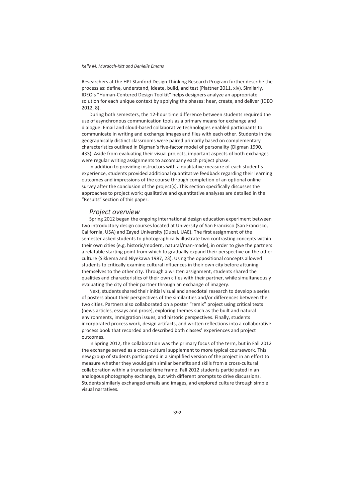Researchers at the HPI-Stanford Design Thinking Research Program further describe the process as: define, understand, ideate, build, and test (Plattner 2011, xiv). Similarly, IDEO's "Human-Centered Design Toolkit" helps designers analyze an appropriate solution for each unique context by applying the phases: hear, create, and deliver (IDEO 2012, 8).

During both semesters, the 12-hour time difference between students required the use of asynchronous communication tools as a primary means for exchange and dialogue. Email and cloud-based collaborative technologies enabled participants to communicate in writing and exchange images and files with each other. Students in the geographically distinct classrooms were paired primarily based on complementary characteristics outlined in Digman's five-factor model of personality (Digman 1990, 433). Aside from evaluating their visual projects, important aspects of both exchanges were regular writing assignments to accompany each project phase.

In addition to providing instructors with a qualitative measure of each student's experience, students provided additional quantitative feedback regarding their learning outcomes and impressions of the course through completion of an optional online survey after the conclusion of the project(s). This section specifically discusses the approaches to project work; qualitative and quantitative analyses are detailed in the "Results" section of this paper.

#### *Project overview*

Spring 2012 began the ongoing international design education experiment between two introductory design courses located at University of San Francisco (San Francisco, California, USA) and Zayed University (Dubai, UAE). The first assignment of the semester asked students to photographically illustrate two contrasting concepts within their own cities (e.g. historic/modern, natural/man-made), in order to give the partners a relatable starting point from which to gradually expand their perspective on the other culture (Sikkema and Niyekawa 1987, 23). Using the oppositional concepts allowed students to critically examine cultural influences in their own city before attuning themselves to the other city. Through a written assignment, students shared the qualities and characteristics of their own cities with their partner, while simultaneously evaluating the city of their partner through an exchange of imagery.

Next, students shared their initial visual and anecdotal research to develop a series of posters about their perspectives of the similarities and/or differences between the two cities. Partners also collaborated on a poster "remix" project using critical texts (news articles, essays and prose), exploring themes such as the built and natural environments, immigration issues, and historic perspectives. Finally, students incorporated process work, design artifacts, and written reflections into a collaborative process book that recorded and described both classes' experiences and project outcomes.

In Spring 2012, the collaboration was the primary focus of the term, but in Fall 2012 the exchange served as a cross-cultural supplement to more typical coursework. This new group of students participated in a simplified version of the project in an effort to measure whether they would gain similar benefits and skills from a cross-cultural collaboration within a truncated time frame. Fall 2012 students participated in an analogous photography exchange, but with different prompts to drive discussions. Students similarly exchanged emails and images, and explored culture through simple visual narratives.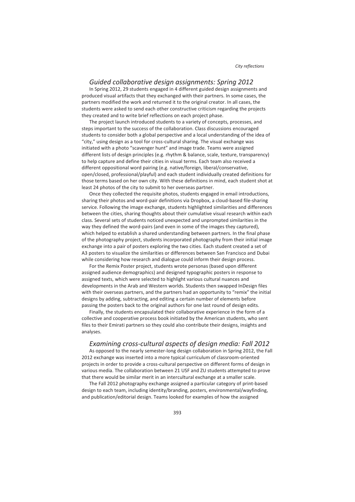#### *Guided collaborative design assignments: Spring 2012*

In Spring 2012, 29 students engaged in 4 different guided design assignments and produced visual artifacts that they exchanged with their partners. In some cases, the partners modified the work and returned it to the original creator. In all cases, the students were asked to send each other constructive criticism regarding the projects they created and to write brief reflections on each project phase.

The project launch introduced students to a variety of concepts, processes, and steps important to the success of the collaboration. Class discussions encouraged students to consider both a global perspective and a local understanding of the idea of "city," using design as a tool for cross-cultural sharing. The visual exchange was initiated with a photo "scavenger hunt" and image trade. Teams were assigned different lists of design principles (e.g. rhythm & balance, scale, texture, transparency) to help capture and define their cities in visual terms. Each team also received a different oppositional word pairing (e.g. native/foreign, liberal/conservative, open/closed, professional/playful) and each student individually created definitions for those terms based on her own city. With these definitions in mind, each student shot at least 24 photos of the city to submit to her overseas partner.

Once they collected the requisite photos, students engaged in email introductions, sharing their photos and word-pair definitions via Dropbox, a cloud-based file-sharing service. Following the image exchange, students highlighted similarities and differences between the cities, sharing thoughts about their cumulative visual research within each class. Several sets of students noticed unexpected and unprompted similarities in the way they defined the word-pairs (and even in some of the images they captured), which helped to establish a shared understanding between partners. In the final phase of the photography project, students incorporated photography from their initial image exchange into a pair of posters exploring the two cities. Each student created a set of A3 posters to visualize the similarities or differences between San Francisco and Dubai while considering how research and dialogue could inform their design process.

For the Remix Poster project, students wrote personas (based upon different assigned audience demographics) and designed typographic posters in response to assigned texts, which were selected to highlight various cultural nuances and developments in the Arab and Western worlds. Students then swapped InDesign files with their overseas partners, and the partners had an opportunity to "remix" the initial designs by adding, subtracting, and editing a certain number of elements before passing the posters back to the original authors for one last round of design edits.

Finally, the students encapsulated their collaborative experience in the form of a collective and cooperative process book initiated by the American students, who sent files to their Emirati partners so they could also contribute their designs, insights and analyses.

#### *Examining cross-cultural aspects of design media: Fall 2012*

As opposed to the nearly semester-long design collaboration in Spring 2012, the Fall 2012 exchange was inserted into a more typical curriculum of classroom-oriented projects in order to provide a cross-cultural perspective on different forms of design in various media. The collaboration between 21 USF and ZU students attempted to prove that there would be similar merit in an intercultural exchange at a smaller scale.

The Fall 2012 photography exchange assigned a particular category of print-based design to each team, including identity/branding, posters, environmental/wayfinding, and publication/editorial design. Teams looked for examples of how the assigned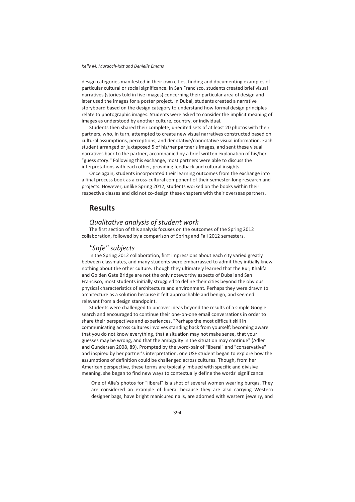design categories manifested in their own cities, finding and documenting examples of particular cultural or social significance. In San Francisco, students created brief visual narratives (stories told in five images) concerning their particular area of design and later used the images for a poster project. In Dubai, students created a narrative storyboard based on the design category to understand how formal design principles relate to photographic images. Students were asked to consider the implicit meaning of images as understood by another culture, country, or individual.

Students then shared their complete, unedited sets of at least 20 photos with their partners, who, in turn, attempted to create new visual narratives constructed based on cultural assumptions, perceptions, and denotative/connotative visual information. Each student arranged or juxtaposed 5 of his/her partner's images, and sent these visual narratives back to the partner, accompanied by a brief written explanation of his/her "guess story." Following this exchange, most partners were able to discuss the interpretations with each other, providing feedback and cultural insights.

Once again, students incorporated their learning outcomes from the exchange into a final process book as a cross-cultural component of their semester-long research and projects. However, unlike Spring 2012, students worked on the books within their respective classes and did not co-design these chapters with their overseas partners.

## **Results**

### *Qualitative analysis of student work*

The first section of this analysis focuses on the outcomes of the Spring 2012 collaboration, followed by a comparison of Spring and Fall 2012 semesters.

#### *"Safe" subjects*

In the Spring 2012 collaboration, first impressions about each city varied greatly between classmates, and many students were embarrassed to admit they initially knew nothing about the other culture. Though they ultimately learned that the Burj Khalifa and Golden Gate Bridge are not the only noteworthy aspects of Dubai and San Francisco, most students initially struggled to define their cities beyond the obvious physical characteristics of architecture and environment. Perhaps they were drawn to architecture as a solution because it felt approachable and benign, and seemed relevant from a design standpoint.

Students were challenged to uncover ideas beyond the results of a simple Google search and encouraged to continue their one-on-one email conversations in order to share their perspectives and experiences. "Perhaps the most difficult skill in communicating across cultures involves standing back from yourself; becoming aware that you do not know everything, that a situation may not make sense, that your guesses may be wrong, and that the ambiguity in the situation may continue" (Adler and Gundersen 2008, 89). Prompted by the word-pair of "liberal" and "conservative" and inspired by her partner's interpretation, one USF student began to explore how the assumptions of definition could be challenged across cultures. Though, from her American perspective, these terms are typically imbued with specific and divisive meaning, she began to find new ways to contextually define the words' significance:

One of Alia's photos for "liberal" is a shot of several women wearing burqas. They are considered an example of liberal because they are also carrying Western designer bags, have bright manicured nails, are adorned with western jewelry, and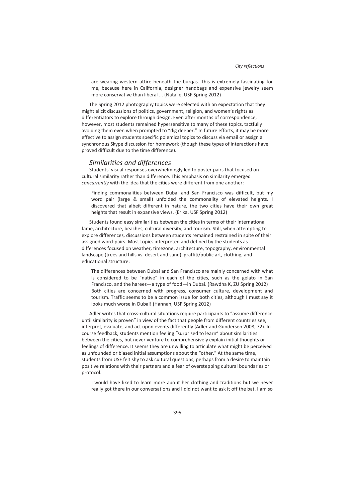are wearing western attire beneath the burqas. This is extremely fascinating for me, because here in California, designer handbags and expensive jewelry seem more conservative than liberal ... (Natalie, USF Spring 2012)

The Spring 2012 photography topics were selected with an expectation that they might elicit discussions of politics, government, religion, and women's rights as differentiators to explore through design. Even after months of correspondence, however, most students remained hypersensitive to many of these topics, tactfully avoiding them even when prompted to "dig deeper." In future efforts, it may be more effective to assign students specific polemical topics to discuss via email or assign a synchronous Skype discussion for homework (though these types of interactions have proved difficult due to the time difference).

#### *Similarities and differences*

Students' visual responses overwhelmingly led to poster pairs that focused on cultural similarity rather than difference. This emphasis on similarity emerged *concurrently* with the idea that the cities were different from one another:

Finding commonalities between Dubai and San Francisco was difficult, but my word pair (large & small) unfolded the commonality of elevated heights. I discovered that albeit different in nature, the two cities have their own great heights that result in expansive views. (Erika, USF Spring 2012)

Students found easy similarities between the cities in terms of their international fame, architecture, beaches, cultural diversity, and tourism. Still, when attempting to explore differences, discussions between students remained restrained in spite of their assigned word-pairs. Most topics interpreted and defined by the students as differences focused on weather, timezone, architecture, topography, environmental landscape (trees and hills vs. desert and sand), graffiti/public art, clothing, and educational structure:

The differences between Dubai and San Francisco are mainly concerned with what is considered to be "native" in each of the cities, such as the gelato in San Francisco, and the harees—a type of food—in Dubai. (Rawdha K, ZU Spring 2012) Both cities are concerned with progress, consumer culture, development and tourism. Traffic seems to be a common issue for both cities, although I must say it looks much worse in Dubai! (Hannah, USF Spring 2012)

Adler writes that cross-cultural situations require participants to "assume difference until similarity is proven" in view of the fact that people from different countries see, interpret, evaluate, and act upon events differently (Adler and Gundersen 2008, 72). In course feedback, students mention feeling "surprised to learn" about similarities between the cities, but never venture to comprehensively explain initial thoughts or feelings of difference. It seems they are unwilling to articulate what might be perceived as unfounded or biased initial assumptions about the "other." At the same time, students from USF felt shy to ask cultural questions, perhaps from a desire to maintain positive relations with their partners and a fear of overstepping cultural boundaries or protocol.

I would have liked to learn more about her clothing and traditions but we never really got there in our conversations and I did not want to ask it off the bat. I am so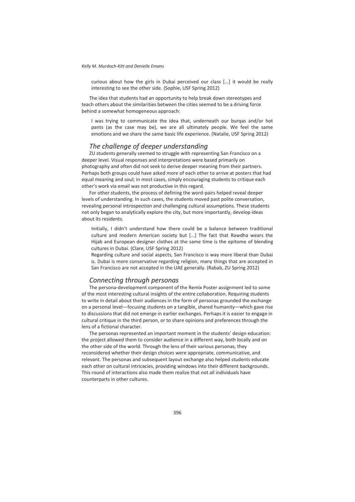curious about how the girls in Dubai perceived our class [...] it would be really interesting to see the other side. (Sophie, USF Spring 2012)

The idea that students had an opportunity to help break down stereotypes and teach others about the similarities between the cities seemed to be a driving force behind a somewhat homogeneous approach:

I was trying to communicate the idea that, underneath our burqas and/or hot pants (as the case may be), we are all ultimately people. We feel the same emotions and we share the same basic life experience. (Natalie, USF Spring 2012)

#### *The challenge of deeper understanding*

ZU students generally seemed to struggle with representing San Francisco on a deeper level. Visual responses and interpretations were based primarily on photography and often did not seek to derive deeper meaning from their partners. Perhaps both groups could have asked more of each other to arrive at posters that had equal meaning and soul; in most cases, simply encouraging students to critique each other's work via email was not productive in this regard.

For other students, the process of defining the word-pairs helped reveal deeper levels of understanding. In such cases, the students moved past polite conversation, revealing personal introspection and challenging cultural assumptions. These students not only began to analytically explore the city, but more importantly, develop ideas about its residents.

Initially, I didn't understand how there could be a balance between traditional culture and modern American society but [...] The fact that Rawdha wears the Hijab and European designer clothes at the same time is the epitome of blending cultures in Dubai. (Clare, USF Spring 2012)

Regarding culture and social aspects, San Francisco is way more liberal than Dubai is. Dubai is more conservative regarding religion, many things that are accepted in San Francisco are not accepted in the UAE generally. (Rabab, ZU Spring 2012)

#### *Connecting through personas*

The persona-development component of the Remix Poster assignment led to some of the most interesting cultural insights of the entire collaboration. Requiring students to write in detail about their audiences in the form of personas grounded the exchange on a personal level—focusing students on a tangible, shared humanity—which gave rise to discussions that did not emerge in earlier exchanges. Perhaps it is easier to engage in cultural critique in the third person, or to share opinions and preferences through the lens of a fictional character.

The personas represented an important moment in the students' design education: the project allowed them to consider audience in a different way, both locally and on the other side of the world. Through the lens of their various personas, they reconsidered whether their design choices were appropriate, communicative, and relevant. The personas and subsequent layout exchange also helped students educate each other on cultural intricacies, providing windows into their different backgrounds. This round of interactions also made them realize that not all individuals have counterparts in other cultures.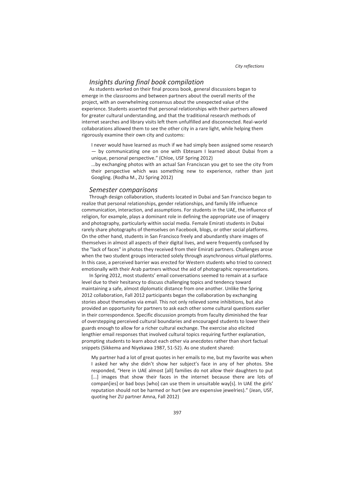### *Insights during final book compilation*

As students worked on their final process book, general discussions began to emerge in the classrooms and between partners about the overall merits of the project, with an overwhelming consensus about the unexpected value of the experience. Students asserted that personal relationships with their partners allowed for greater cultural understanding, and that the traditional research methods of internet searches and library visits left them unfulfilled and disconnected. Real-world collaborations allowed them to see the other city in a rare light, while helping them rigorously examine their own city and customs:

I never would have learned as much if we had simply been assigned some research — by communicating one on one with Ebtesam I learned about Dubai from a unique, personal perspective." (Chloe, USF Spring 2012)

...by exchanging photos with an actual San Franciscan you get to see the city from their perspective which was something new to experience, rather than just Googling. (Rodha M., ZU Spring 2012)

#### *Semester comparisons*

Through design collaboration, students located in Dubai and San Francisco began to realize that personal relationships, gender relationships, and family life influence communication, interaction, and assumptions. For students in the UAE, the influence of religion, for example, plays a dominant role in defining the appropriate use of imagery and photography, particularly within social media. Female Emirati students in Dubai rarely share photographs of themselves on Facebook, blogs, or other social platforms. On the other hand, students in San Francisco freely and abundantly share images of themselves in almost all aspects of their digital lives, and were frequently confused by the "lack of faces" in photos they received from their Emirati partners. Challenges arose when the two student groups interacted solely through asynchronous virtual platforms. In this case, a perceived barrier was erected for Western students who tried to connect emotionally with their Arab partners without the aid of photographic representations.

In Spring 2012, most students' email conversations seemed to remain at a surface level due to their hesitancy to discuss challenging topics and tendency toward maintaining a safe, almost diplomatic distance from one another. Unlike the Spring 2012 collaboration, Fall 2012 participants began the collaboration by exchanging stories about themselves via email. This not only relieved some inhibitions, but also provided an opportunity for partners to ask each other some cultural questions earlier in their correspondence. Specific discussion prompts from faculty diminished the fear of overstepping perceived cultural boundaries and encouraged students to lower their guards enough to allow for a richer cultural exchange. The exercise also elicited lengthier email responses that involved cultural topics requiring further explanation, prompting students to learn about each other via anecdotes rather than short factual snippets (Sikkema and Niyekawa 1987, 51-52). As one student shared:

My partner had a lot of great quotes in her emails to me, but my favorite was when I asked her why she didn't show her subject's face in any of her photos. She responded, "Here in UAE almost [all] families do not allow their daughters to put [...] images that show their faces in the internet because there are lots of compan[ies] or bad boys [who] can use them in unsuitable way[s]. In UAE the girls' reputation should not be harmed or hurt (we are expensive jewelries)." (Jean, USF, quoting her ZU partner Amna, Fall 2012)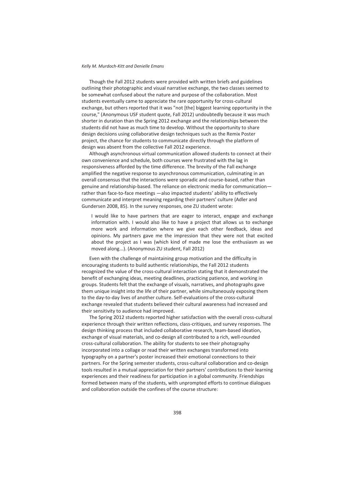Though the Fall 2012 students were provided with written briefs and guidelines outlining their photographic and visual narrative exchange, the two classes seemed to be somewhat confused about the nature and purpose of the collaboration. Most students eventually came to appreciate the rare opportunity for cross-cultural exchange, but others reported that it was "not [the] biggest learning opportunity in the course," (Anonymous USF student quote, Fall 2012) undoubtedly because it was much shorter in duration than the Spring 2012 exchange and the relationships between the students did not have as much time to develop. Without the opportunity to share design decisions using collaborative design techniques such as the Remix Poster project, the chance for students to communicate directly through the platform of design was absent from the collective Fall 2012 experience.

Although asynchronous virtual communication allowed students to connect at their own convenience and schedule, both courses were frustrated with the lag in responsiveness afforded by the time difference. The brevity of the Fall exchange amplified the negative response to asynchronous communication, culminating in an overall consensus that the interactions were sporadic and course-based, rather than genuine and relationship-based. The reliance on electronic media for communication rather than face-to-face meetings —also impacted students' ability to effectively communicate and interpret meaning regarding their partners' culture (Adler and Gundersen 2008, 85). In the survey responses, one ZU student wrote:

I would like to have partners that are eager to interact, engage and exchange information with. I would also like to have a project that allows us to exchange more work and information where we give each other feedback, ideas and opinions. My partners gave me the impression that they were not that excited about the project as I was (which kind of made me lose the enthusiasm as we moved along...). (Anonymous ZU student, Fall 2012)

Even with the challenge of maintaining group motivation and the difficulty in encouraging students to build authentic relationships, the Fall 2012 students recognized the value of the cross-cultural interaction stating that it demonstrated the benefit of exchanging ideas, meeting deadlines, practicing patience, and working in groups. Students felt that the exchange of visuals, narratives, and photographs gave them unique insight into the life of their partner, while simultaneously exposing them to the day-to-day lives of another culture. Self-evaluations of the cross-cultural exchange revealed that students believed their cultural awareness had increased and their sensitivity to audience had improved.

The Spring 2012 students reported higher satisfaction with the overall cross-cultural experience through their written reflections, class-critiques, and survey responses. The design thinking process that included collaborative research, team-based ideation, exchange of visual materials, and co-design all contributed to a rich, well-rounded cross-cultural collaboration. The ability for students to see their photography incorporated into a collage or read their written exchanges transformed into typography on a partner's poster increased their emotional connections to their partners. For the Spring semester students, cross-cultural collaboration and co-design tools resulted in a mutual appreciation for their partners' contributions to their learning experiences and their readiness for participation in a global community. Friendships formed between many of the students, with unprompted efforts to continue dialogues and collaboration outside the confines of the course structure: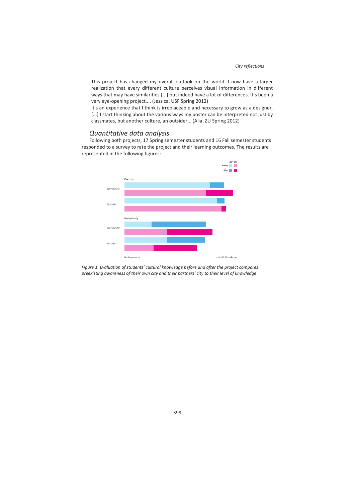This project has changed my overall outlook on the world. I now have a larger realization that every different culture perceives visual information in different ways that may have similarities [...] but indeed have a lot of differences. It's been a very eye-opening project.... (Jessica, USF Spring 2012)

It's an experience that I think is irreplaceable and necessary to grow as a designer. [...] I start thinking about the various ways my poster can be interpreted not just by classmates, but another culture, an outsider... (Alia, ZU Spring 2012)

#### *Quantitative data analysis*

Following both projects, 17 Spring semester students and 16 Fall semester students responded to a survey to rate the project and their learning outcomes. The results are represented in the following figures:



*Figure 1. Evaluation of students' cultural knowledge before and after the project compares preexisting awareness of their own city and their partners' city to their level of knowledge*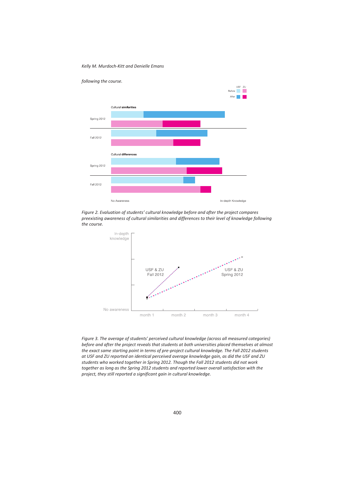*Kelly M. Murdoch-Kitt and Denielle Emans*



*Figure 2. Evaluation of students' cultural knowledge before and after the project compares preexisting awareness of cultural similarities and differences to their level of knowledge following the course.* 



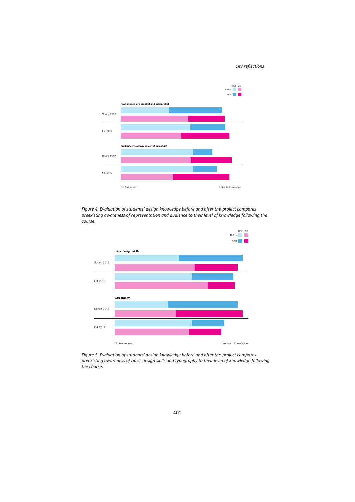#### *City reflections*



*Figure 4. Evaluation of students' design knowledge before and after the project compares preexisting awareness of representation and audience to their level of knowledge following the course.* 



*Figure 5. Evaluation of students' design knowledge before and after the project compares preexisting awareness of basic design skills and typography to their level of knowledge following the course.*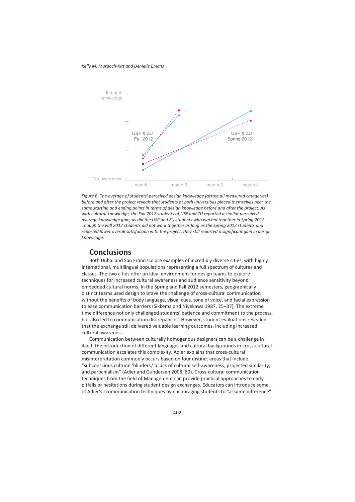*Kelly M. Murdoch-Kitt and Denielle Emans*



*Figure 6. The average of students' perceived design knowledge (across all measured categories) before and after the project reveals that students at both universities placed themselves near the same starting and ending points in terms of design knowledge before and after the project. As with cultural knowledge, the Fall 2012 students at USF and ZU reported a similar perceived average knowledge gain, as did the USF and ZU students who worked together in Spring 2012. Though the Fall 2012 students did not work together as long as the Spring 2012 students and reported lower overall satisfaction with the project, they still reported a significant gain in design knowledge.* 

### **Conclusions**

Both Dubai and San Francisco are examples of incredibly diverse cities, with highly international, multilingual populations representing a full spectrum of cultures and classes. The two cities offer an ideal environment for design teams to explore techniques for increased cultural awareness and audience sensitivity beyond embedded cultural norms. In the Spring and Fall 2012 semesters, geographically distinct teams used design to brave the challenge of cross-cultural communication without the benefits of body language, visual cues, tone of voice, and facial expression to ease communication barriers (Sikkema and Niyekawa 1987, 25–37). The extreme time difference not only challenged students' patience and commitment to the process, but also led to communication discrepancies. However, student evaluations revealed that the exchange still delivered valuable learning outcomes, including increased cultural awareness.

Communication between culturally homogenous designers can be a challenge in itself; the introduction of different languages and cultural backgrounds in cross-cultural communication escalates this complexity. Adler explains that cross-cultural misinterpretation commonly occurs based on four distinct areas that include "subconscious cultural 'blinders,' a lack of cultural self-awareness, projected similarity, and parochialism" (Adler and Gundersen 2008, 80). Cross-cultural communication techniques from the field of Management can provide practical approaches to early pitfalls or hesitations during student design exchanges. Educators can introduce some of Adler's ccommunication techniques by encouraging students to "assume difference"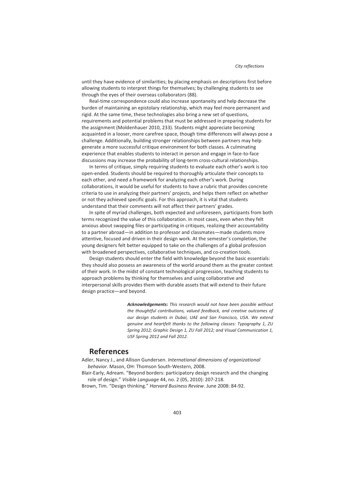until they have evidence of similarities; by placing emphasis on descriptions first before allowing students to interpret things for themselves; by challenging students to see through the eyes of their overseas collaborators (88).

Real-time correspondence could also increase spontaneity and help decrease the burden of maintaining an epistolary relationship, which may feel more permanent and rigid. At the same time, these technologies also bring a new set of questions, requirements and potential problems that must be addressed in preparing students for the assignment (Moldenhauer 2010, 233). Students might appreciate becoming acquainted in a looser, more carefree space, though time differences will always pose a challenge. Additionally, building stronger relationships between partners may help generate a more successful critique environment for both classes. A culminating experience that enables students to interact in person and engage in face-to-face discussions may increase the probability of long-term cross-cultural relationships.

In terms of critique, simply requiring students to evaluate each other's work is too open-ended. Students should be required to thoroughly articulate their concepts to each other, and need a framework for analyzing each other's work. During collaborations, it would be useful for students to have a rubric that provides concrete criteria to use in analyzing their partners' projects, and helps them reflect on whether or not they achieved specific goals. For this approach, it is vital that students understand that their comments will not affect their partners' grades.

In spite of myriad challenges, both expected and unforeseen, participants from both terms recognized the value of this collaboration. In most cases, even when they felt anxious about swapping files or participating in critiques, realizing their accountability to a partner abroad—in addition to professor and classmates—made students more attentive, focused and driven in their design work. At the semester's completion, the young designers felt better equipped to take on the challenges of a global profession with broadened perspectives, collaborative techniques, and co-creation tools.

Design students should enter the field with knowledge beyond the basic essentials: they should also possess an awareness of the world around them as the greater context of their work. In the midst of constant technological progression, teaching students to approach problems by thinking for themselves and using collaborative and interpersonal skills provides them with durable assets that will extend to their future design practice—and beyond.

> *Acknowledgements: This research would not have been possible without the thoughtful contributions, valued feedback, and creative outcomes of our design students in Dubai, UAE and San Francisco, USA. We extend genuine and heartfelt thanks to the following classes: Typography 1, ZU Spring 2012; Graphic Design 1, ZU Fall 2012; and Visual Communication 1, USF Spring 2012 and Fall 2012.*

## **References**

Adler, Nancy J., and Allison Gundersen. *International dimensions of organizational behavior*. Mason, OH: Thomson South-Western, 2008.

Blair-Early, Adream. "Beyond borders: participatory design research and the changing role of design." *Visible Language* 44, no. 2 (05, 2010): 207-218.

Brown, Tim. "Design thinking." *Harvard Business Review*. June 2008: 84-92.